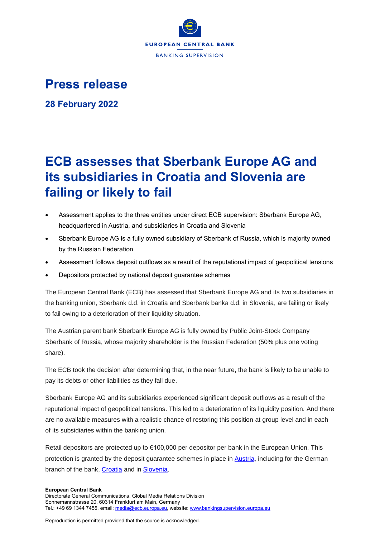

## **Press release**

**28 February 2022**

# **ECB assesses that Sberbank Europe AG and its subsidiaries in Croatia and Slovenia are failing or likely to fail**

- Assessment applies to the three entities under direct ECB supervision: Sberbank Europe AG, headquartered in Austria, and subsidiaries in Croatia and Slovenia
- Sberbank Europe AG is a fully owned subsidiary of Sberbank of Russia, which is majority owned by the Russian Federation
- Assessment follows deposit outflows as a result of the reputational impact of geopolitical tensions
- Depositors protected by national deposit guarantee schemes

The European Central Bank (ECB) has assessed that Sberbank Europe AG and its two subsidiaries in the banking union, Sberbank d.d. in Croatia and Sberbank banka d.d. in Slovenia, are failing or likely to fail owing to a deterioration of their liquidity situation.

The Austrian parent bank Sberbank Europe AG is fully owned by Public Joint-Stock Company Sberbank of Russia, whose majority shareholder is the Russian Federation (50% plus one voting share).

The ECB took the decision after determining that, in the near future, the bank is likely to be unable to pay its debts or other liabilities as they fall due.

Sberbank Europe AG and its subsidiaries experienced significant deposit outflows as a result of the reputational impact of geopolitical tensions. This led to a deterioration of its liquidity position. And there are no available measures with a realistic chance of restoring this position at group level and in each of its subsidiaries within the banking union.

Retail depositors are protected up to €100,000 per depositor per bank in the European Union. This protection is granted by the deposit guarantee schemes in place in [Austria,](https://www.einlagensicherung.at/) including for the German branch of the bank, [Croatia](https://www.haod.hr/home) and in [Slovenia.](http://www.bsi.si/)

#### **European Central Bank**

Reproduction is permitted provided that the source is acknowledged.